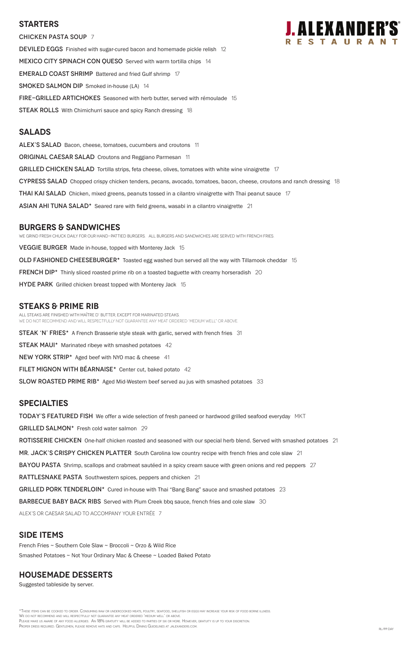## **Starters**

Chicken pasta soup 7 DEVILED EGGS Finished with sugar-cured bacon and homemade pickle relish 12 MEXICO CITY SPINACH CON QUESO Served with warm tortilla chips 14 **EMERALD COAST SHRIMP** Battered and fried Gulf shrimp 17 SMOKED SALMON DIP Smoked in-house (LA) 14 **FIRE-GRILLED ARTICHOKES** Seasoned with herb butter, served with rémoulade 15 **STEAK ROLLS** With Chimichurri sauce and spicy Ranch dressing 18

## **Salads**

ALEX'S SALAD Bacon, cheese, tomatoes, cucumbers and croutons 11 **ORIGINAL CAESAR SALAD** Croutons and Reggiano Parmesan 11 GRILLED CHICKEN SALAD Tortilla strips, feta cheese, olives, tomatoes with white wine vinaigrette 17 CYPRESS SALAD Chopped crispy chicken tenders, pecans, avocado, tomatoes, bacon, cheese, croutons and ranch dressing 18 **THAI KAI SALAD** Chicken, mixed greens, peanuts tossed in a cilantro vinaigrette with Thai peanut sauce 17 ASIAN AHI TUNA SALAD\* Seared rare with field greens, wasabi in a cilantro vinaigrette 21

## **burgers & Sandwiches**

We grind fresh chuck daily for our hand-pattied burgers. All Burgers and sandwiches are served with French Fries. **VEGGIE BURGER** Made in-house, topped with Monterey Jack 15 OLD FASHIONED CHEESEBURGER\* Toasted egg washed bun served all the way with Tillamook cheddar 15 **FRENCH DIP\*** Thinly sliced roasted prime rib on a toasted baguette with creamy horseradish 20 HYDE PARK Grilled chicken breast topped with Monterey Jack 15

# **STEAKS & Prime Rib**

\*These items can be cooked to order. Consuming raw or undercooked meats, poultry, seafood, shellfish or eggs may increase your risk of food borne illness. We do not recommend and will respectfully not guarantee any meat ordered 'medium well' or above. Please make us aware of any food allergies. An 18% gratuity will be added to parties of six or more. However, gratuity is up to your discretion. PROPER DRESS REQUIRED. GENTLEMEN, PLEASE REMOVE HATS AND CAPS. HELPFUL DINING GUIDELINES AT JALEXANDERS.COM. RL/PP DAY

All steaks are finished with Maître d' butter, except for marinated steaks. WE DO NOT RECOMMEND AND WILL RESPECTFULLY NOT GUARANTEE ANY MEAT ORDERED 'MEDIUM WELL" OR ABOVE.

**STEAK 'N' FRIES\*** A French Brasserie style steak with garlic, served with french fries 31

**STEAK MAUI\*** Marinated ribeye with smashed potatoes 42

NEW YORK STRIP\* Aged beef with NYO mac & cheese 41

FILET MIGNON WITH BÉARNAISE $*$  Center cut, baked potato 42

SLOW ROASTED PRIME RIB<sup>\*</sup> Aged Mid-Western beef served au jus with smashed potatoes 33

# **SPECIALTIES**

TODAY'S FEATURED FISH We offer a wide selection of fresh paneed or hardwood grilled seafood everyday MKT

GRILLED SALMON<sup>\*</sup> Fresh cold water salmon 29

ROTISSERIE CHICKEN One-half chicken roasted and seasoned with our special herb blend. Served with smashed potatoes 21

MR. JACK'S CRISPY CHICKEN PLATTER South Carolina low country recipe with french fries and cole slaw 21

BAYOU PASTA Shrimp, scallops and crabmeat sautéed in a spicy cream sauce with green onions and red peppers 27

RATTLESNAKE PASTA Southwestern spices, peppers and chicken 21



GRILLED PORK TENDERLOIN\* Cured in-house with Thai "Bang Bang" sauce and smashed potatoes 23

BARBECUE BABY BACK RIBS Served with Plum Creek bbq sauce, french fries and cole slaw 30

ALEX's or Caesar salad to accompany your entrée 7

## **SIDE ITEMS**

French Fries ~ Southern Cole Slaw ~ Broccoli ~ Orzo & Wild Rice

Smashed Potatoes ~ Not Your Ordinary Mac & Cheese ~ Loaded Baked Potato

## **housemade DESSERTS**

Suggested tableside by server.